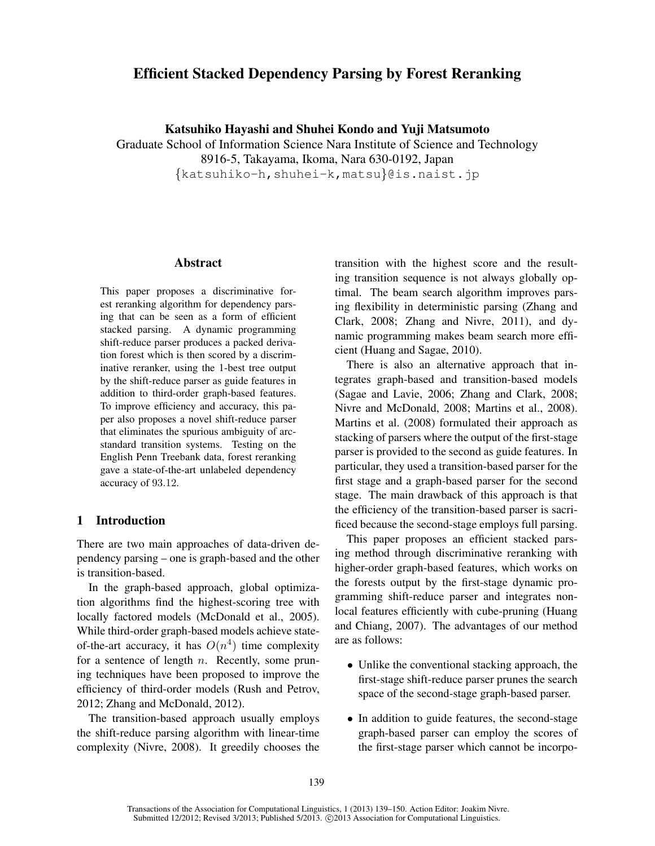# Efficient Stacked Dependency Parsing by Forest Reranking

Katsuhiko Hayashi and Shuhei Kondo and Yuji Matsumoto

Graduate School of Information Science Nara Institute of Science and Technology 8916-5, Takayama, Ikoma, Nara 630-0192, Japan {katsuhiko-h,shuhei-k,matsu}@is.naist.jp

### Abstract

This paper proposes a discriminative forest reranking algorithm for dependency parsing that can be seen as a form of efficient stacked parsing. A dynamic programming shift-reduce parser produces a packed derivation forest which is then scored by a discriminative reranker, using the 1-best tree output by the shift-reduce parser as guide features in addition to third-order graph-based features. To improve efficiency and accuracy, this paper also proposes a novel shift-reduce parser that eliminates the spurious ambiguity of arcstandard transition systems. Testing on the English Penn Treebank data, forest reranking gave a state-of-the-art unlabeled dependency accuracy of 93.12.

## 1 Introduction

There are two main approaches of data-driven dependency parsing – one is graph-based and the other is transition-based.

In the graph-based approach, global optimization algorithms find the highest-scoring tree with locally factored models (McDonald et al., 2005). While third-order graph-based models achieve stateof-the-art accuracy, it has  $O(n^4)$  time complexity for a sentence of length  $n$ . Recently, some pruning techniques have been proposed to improve the efficiency of third-order models (Rush and Petrov, 2012; Zhang and McDonald, 2012).

The transition-based approach usually employs the shift-reduce parsing algorithm with linear-time complexity (Nivre, 2008). It greedily chooses the transition with the highest score and the resulting transition sequence is not always globally optimal. The beam search algorithm improves parsing flexibility in deterministic parsing (Zhang and Clark, 2008; Zhang and Nivre, 2011), and dynamic programming makes beam search more efficient (Huang and Sagae, 2010).

There is also an alternative approach that integrates graph-based and transition-based models (Sagae and Lavie, 2006; Zhang and Clark, 2008; Nivre and McDonald, 2008; Martins et al., 2008). Martins et al. (2008) formulated their approach as stacking of parsers where the output of the first-stage parser is provided to the second as guide features. In particular, they used a transition-based parser for the first stage and a graph-based parser for the second stage. The main drawback of this approach is that the efficiency of the transition-based parser is sacrificed because the second-stage employs full parsing.

This paper proposes an efficient stacked parsing method through discriminative reranking with higher-order graph-based features, which works on the forests output by the first-stage dynamic programming shift-reduce parser and integrates nonlocal features efficiently with cube-pruning (Huang and Chiang, 2007). The advantages of our method are as follows:

- Unlike the conventional stacking approach, the first-stage shift-reduce parser prunes the search space of the second-stage graph-based parser.
- In addition to guide features, the second-stage graph-based parser can employ the scores of the first-stage parser which cannot be incorpo-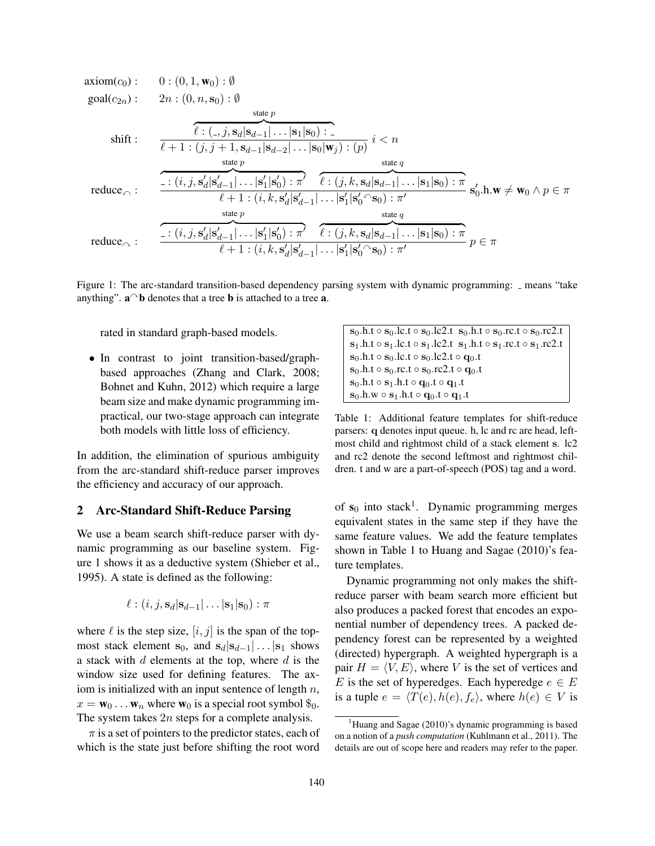$$
\begin{array}{ll}\n\text{axiom}(c_0): & 0: (0, 1, \mathbf{w}_0): \emptyset \\
\text{goal}(c_{2n}): & 2n: (0, n, \mathbf{s}_0): \emptyset \\
& \text{state } p \\
\text{shift}: & \overbrace{\ell : (., j, \mathbf{s}_d | \mathbf{s}_{d-1} | \dots | \mathbf{s}_1 | \mathbf{s}_0): \dots \\
& \overbrace{\ell + 1 : (j, j + 1, \mathbf{s}_{d-1} | \mathbf{s}_{d-2} | \dots | \mathbf{s}_0 | \mathbf{w}_j): (p)}_{\text{state } p} \quad i < n \\
\text{reduce} & \overbrace{\cdots (i, j, \mathbf{s}'_d | \mathbf{s}'_{d-1} | \dots | \mathbf{s}'_1 | \mathbf{s}'_0): \pi' \quad \ell : (j, k, \mathbf{s}_d | \mathbf{s}_{d-1} | \dots | \mathbf{s}_1 | \mathbf{s}_0): \pi}_{\ell + 1 : (i, k, \mathbf{s}'_d | \mathbf{s}'_{d-1} | \dots | \mathbf{s}'_1 | \mathbf{s}'_0 \cap \mathbf{s}_0): \pi'} \\
\text{reduce} & \overbrace{\cdots (i, j, \mathbf{s}'_d | \mathbf{s}'_{d-1} | \dots | \mathbf{s}'_1 | \mathbf{s}'_0): \pi' \quad \ell : (j, k, \mathbf{s}_d | \mathbf{s}_{d-1} | \dots | \mathbf{s}_1 | \mathbf{s}_0): \pi}_{\ell + 1 : (i, k, \mathbf{s}'_d | \mathbf{s}'_{d-1} | \dots | \mathbf{s}'_1 | \mathbf{s}'_0 \cap \mathbf{s}_0): \pi'} p \in \pi\n\end{array}
$$

Figure 1: The arc-standard transition-based dependency parsing system with dynamic programming: \_ means "take anything".  $\mathbf{a}^\frown \mathbf{b}$  denotes that a tree **b** is attached to a tree **a**.

rated in standard graph-based models.

• In contrast to joint transition-based/graphbased approaches (Zhang and Clark, 2008; Bohnet and Kuhn, 2012) which require a large beam size and make dynamic programming impractical, our two-stage approach can integrate both models with little loss of efficiency.

In addition, the elimination of spurious ambiguity from the arc-standard shift-reduce parser improves the efficiency and accuracy of our approach.

# 2 Arc-Standard Shift-Reduce Parsing

We use a beam search shift-reduce parser with dynamic programming as our baseline system. Figure 1 shows it as a deductive system (Shieber et al., 1995). A state is defined as the following:

$$
\ell : (i, j, \mathbf{s}_d | \mathbf{s}_{d-1} | \dots | \mathbf{s}_1 | \mathbf{s}_0) : \pi
$$

where  $\ell$  is the step size,  $[i, j]$  is the span of the topmost stack element  $s_0$ , and  $s_d|s_{d-1}| \dots |s_1$  shows a stack with  $d$  elements at the top, where  $d$  is the window size used for defining features. The axiom is initialized with an input sentence of length  $n$ ,  $x = \mathbf{w}_0 \dots \mathbf{w}_n$  where  $\mathbf{w}_0$  is a special root symbol  $\mathcal{S}_0$ . The system takes 2n steps for a complete analysis.

 $\pi$  is a set of pointers to the predictor states, each of which is the state just before shifting the root word

 $\mathbf{s}_0.\mathbf{h}.\mathbf{t} \circ \mathbf{s}_0.\mathbf{l} \cdot \mathbf{c} \cdot \mathbf{s}_0.\mathbf{l} \cdot \mathbf{c} \cdot \mathbf{s}_0 \cdot \mathbf{h} \cdot \mathbf{c} \cdot \mathbf{s}_0 \cdot \mathbf{r} \cdot \mathbf{c} \cdot \mathbf{c} \cdot \mathbf{s}_0 \cdot \mathbf{r} \cdot \mathbf{c} \cdot \mathbf{c}$  $s_1.h.t \circ s_1.lc.t \circ s_1.lc2.t \; s_1.h.t \circ s_1.rc.t \circ s_1.rc2.t$  $s_0.h.t \circ s_0.lc.t \circ s_0.lc2.t \circ q_0.t$  $s_0.h.t \circ s_0.rc.t \circ s_0.rc2.t \circ q_0.t$  $s_0.h.t \circ s_1.h.t \circ q_0.t \circ q_1.t$  $s_0.h.w \circ s_1.h.t \circ q_0.t \circ q_1.t$ 

Table 1: Additional feature templates for shift-reduce parsers: q denotes input queue. h, lc and rc are head, leftmost child and rightmost child of a stack element s. lc2 and rc2 denote the second leftmost and rightmost children. t and w are a part-of-speech (POS) tag and a word.

of  $s_0$  into stack<sup>1</sup>. Dynamic programming merges equivalent states in the same step if they have the same feature values. We add the feature templates shown in Table 1 to Huang and Sagae (2010)'s feature templates.

Dynamic programming not only makes the shiftreduce parser with beam search more efficient but also produces a packed forest that encodes an exponential number of dependency trees. A packed dependency forest can be represented by a weighted (directed) hypergraph. A weighted hypergraph is a pair  $H = \langle V, E \rangle$ , where V is the set of vertices and E is the set of hyperedges. Each hyperedge  $e \in E$ is a tuple  $e = \langle T(e), h(e), f_e \rangle$ , where  $h(e) \in V$  is

<sup>&</sup>lt;sup>1</sup>Huang and Sagae (2010)'s dynamic programming is based on a notion of a *push computation* (Kuhlmann et al., 2011). The details are out of scope here and readers may refer to the paper.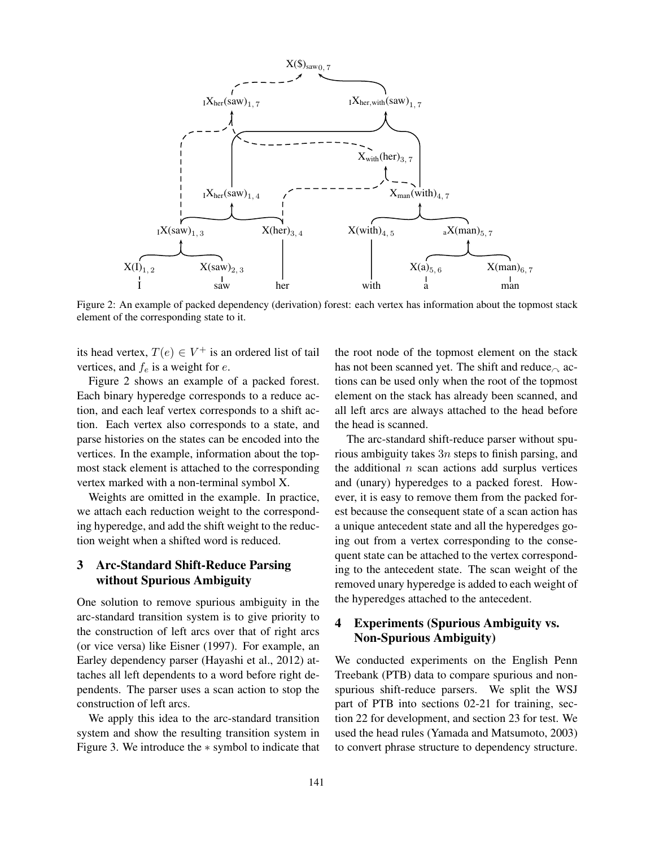

Figure 2: An example of packed dependency (derivation) forest: each vertex has information about the topmost stack element of the corresponding state to it.

its head vertex,  $T(e) \in V^+$  is an ordered list of tail vertices, and  $f_e$  is a weight for  $e$ .

Figure 2 shows an example of a packed forest. Each binary hyperedge corresponds to a reduce action, and each leaf vertex corresponds to a shift action. Each vertex also corresponds to a state, and parse histories on the states can be encoded into the vertices. In the example, information about the topmost stack element is attached to the corresponding vertex marked with a non-terminal symbol X.

Weights are omitted in the example. In practice, we attach each reduction weight to the corresponding hyperedge, and add the shift weight to the reduction weight when a shifted word is reduced.

# 3 Arc-Standard Shift-Reduce Parsing without Spurious Ambiguity

One solution to remove spurious ambiguity in the arc-standard transition system is to give priority to the construction of left arcs over that of right arcs (or vice versa) like Eisner (1997). For example, an Earley dependency parser (Hayashi et al., 2012) attaches all left dependents to a word before right dependents. The parser uses a scan action to stop the construction of left arcs.

We apply this idea to the arc-standard transition system and show the resulting transition system in Figure 3. We introduce the ∗ symbol to indicate that the root node of the topmost element on the stack has not been scanned yet. The shift and reduce  $\alpha$  actions can be used only when the root of the topmost element on the stack has already been scanned, and all left arcs are always attached to the head before the head is scanned.

The arc-standard shift-reduce parser without spurious ambiguity takes  $3n$  steps to finish parsing, and the additional  $n$  scan actions add surplus vertices and (unary) hyperedges to a packed forest. However, it is easy to remove them from the packed forest because the consequent state of a scan action has a unique antecedent state and all the hyperedges going out from a vertex corresponding to the consequent state can be attached to the vertex corresponding to the antecedent state. The scan weight of the removed unary hyperedge is added to each weight of the hyperedges attached to the antecedent.

# 4 Experiments (Spurious Ambiguity vs. Non-Spurious Ambiguity)

We conducted experiments on the English Penn Treebank (PTB) data to compare spurious and nonspurious shift-reduce parsers. We split the WSJ part of PTB into sections 02-21 for training, section 22 for development, and section 23 for test. We used the head rules (Yamada and Matsumoto, 2003) to convert phrase structure to dependency structure.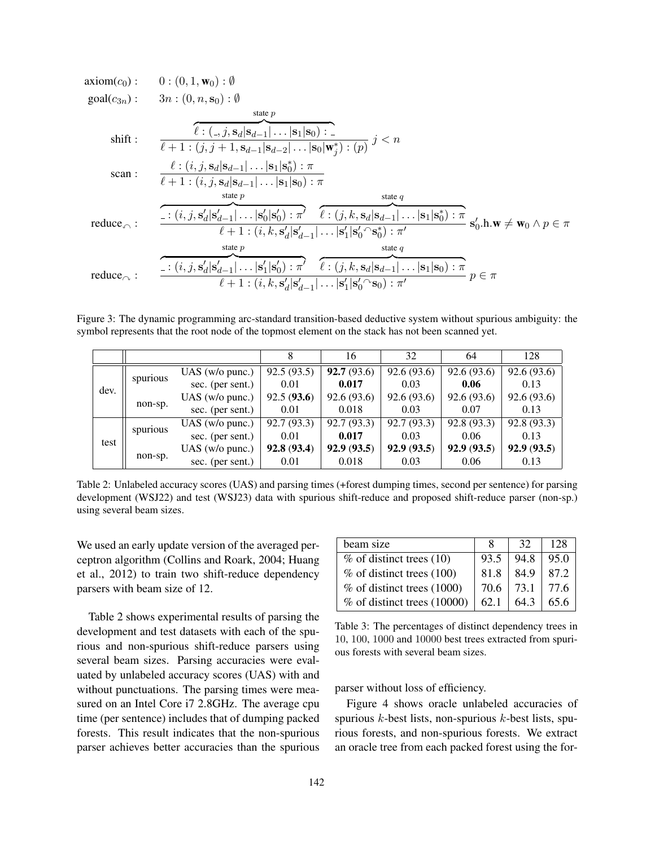axiom(c<sub>0</sub>): 0: (0, 1, w<sub>0</sub>): 0  
\ngoal(c<sub>3n</sub>): 3n: (0, n, s<sub>0</sub>): 0  
\nshift: 
$$
\frac{\ell: (., j, s_d | s_{d-1}|...| s_1 | s_0):}{\ell + 1: (j, j + 1, s_{d-1} | s_{d-2}|...| s_0 | w_j^*): (p)} j < n
$$
\nscan: 
$$
\frac{\ell: (i, j, s_d | s_{d-1}|...| s_1 | s_0^*) : \pi}{\ell + 1: (i, j, s_d | s_{d-1}|...| s_1 | s_0): \pi}
$$
\nreduce
$$
\frac{\cdot: (i, j, s_d' | s_{d-1}'|...| s_0' | s_0': \pi') \cdot (\cdot | s_1 | s_0^*) : \pi' \cdot (\cdot | s_1 | s_0^*) : \pi' \cdot (\cdot | s_1 | s_0^*) : \pi' \cdot (\cdot | s_1 | s_0^*) : \pi' \cdot (\cdot | s_1 | s_0^*) : \pi' \cdot (\cdot | s_1 | s_0^*) : \pi' \cdot (\cdot | s_1 | s_0^*) : \pi' \cdot (\cdot | s_1 | s_0^*) : \pi' \cdot (\cdot | s_1 | s_0^*) : \pi' \cdot (\cdot | s_1 | s_0^*) : \pi' \cdot (\cdot | s_1 | s_0^*) : \pi' \cdot (\cdot | s_1 | s_0^*) : \pi' \cdot (\cdot | s_1 | s_0^*) : \pi' \cdot (\cdot | s_1 | s_0^*) : \pi' \cdot (\cdot | s_1 | s_0^*) : \pi' \cdot (\cdot | s_1 | s_0^*) : \pi' \cdot (\cdot | s_1 | s_0^*) : \pi' \cdot (\cdot | s_1 | s_0^*) : \pi' \cdot (\cdot | s_1 | s_0^*) : \pi' \cdot (\cdot | s_1 | s_0^*) : \pi' \cdot (\cdot | s_1 | s_0^*) : \pi' \cdot (\cdot | s_1 | s_0^*) : \pi' \cdot (\cdot | s_1 | s_0^*) : \pi' \cdot (\cdot | s_1 | s_0^*) : \pi' \cdot (\cdot | s_1 | s_0^*) : \pi' \cdot (\cdot | s_1 | s_0^*) : \pi' \cdot (\cdot | s_1 | s_0^*) : \pi' \cdot (\cdot | s_1 | s
$$

Figure 3: The dynamic programming arc-standard transition-based deductive system without spurious ambiguity: the symbol represents that the root node of the topmost element on the stack has not been scanned yet.

|      |          |                   |             | 16         | 32          | 64          | 128         |
|------|----------|-------------------|-------------|------------|-------------|-------------|-------------|
|      |          | $UAS$ (w/o punc.) | 92.5(93.5)  | 92.7(93.6) | 92.6(93.6)  | 92.6 (93.6) | 92.6(93.6)  |
| dev. | spurious | sec. (per sent.)  | 0.01        | 0.017      | 0.03        | 0.06        | 0.13        |
|      |          | $UAS$ (w/o punc.) | 92.5(93.6)  | 92.6(93.6) | 92.6 (93.6) | 92.6 (93.6) | 92.6 (93.6) |
|      | non-sp.  | sec. (per sent.)  | 0.01        | 0.018      | 0.03        | 0.07        | 0.13        |
|      |          | $UAS$ (w/o punc.) | 92.7(93.3)  | 92.7(93.3) | 92.7 (93.3) | 92.8 (93.3) | 92.8 (93.3) |
| test | spurious | sec. (per sent.)  | 0.01        | 0.017      | 0.03        | 0.06        | 0.13        |
|      |          | $UAS$ (w/o punc.) | 92.8 (93.4) | 92.9(93.5) | 92.9 (93.5) | 92.9 (93.5) | 92.9 (93.5) |
|      | non-sp.  | sec. (per sent.)  | 0.01        | 0.018      | 0.03        | 0.06        | 0.13        |

Table 2: Unlabeled accuracy scores (UAS) and parsing times (+forest dumping times, second per sentence) for parsing development (WSJ22) and test (WSJ23) data with spurious shift-reduce and proposed shift-reduce parser (non-sp.) using several beam sizes.

We used an early update version of the averaged perceptron algorithm (Collins and Roark, 2004; Huang et al., 2012) to train two shift-reduce dependency parsers with beam size of 12.

Table 2 shows experimental results of parsing the development and test datasets with each of the spurious and non-spurious shift-reduce parsers using several beam sizes. Parsing accuracies were evaluated by unlabeled accuracy scores (UAS) with and without punctuations. The parsing times were measured on an Intel Core i7 2.8GHz. The average cpu time (per sentence) includes that of dumping packed forests. This result indicates that the non-spurious parser achieves better accuracies than the spurious

| beam size                     | x    | 32   | 128  |
|-------------------------------|------|------|------|
| $\%$ of distinct trees (10)   | 93.5 | 94.8 | 95.0 |
| $%$ of distinct trees (100)   | 81.8 | 84.9 | 87.2 |
| $%$ of distinct trees (1000)  | 70.6 | 73.1 | 77.6 |
| $%$ of distinct trees (10000) | 62.1 | 64.3 | 65.6 |

Table 3: The percentages of distinct dependency trees in 10, 100, 1000 and 10000 best trees extracted from spurious forests with several beam sizes.

parser without loss of efficiency.

Figure 4 shows oracle unlabeled accuracies of spurious  $k$ -best lists, non-spurious  $k$ -best lists, spurious forests, and non-spurious forests. We extract an oracle tree from each packed forest using the for-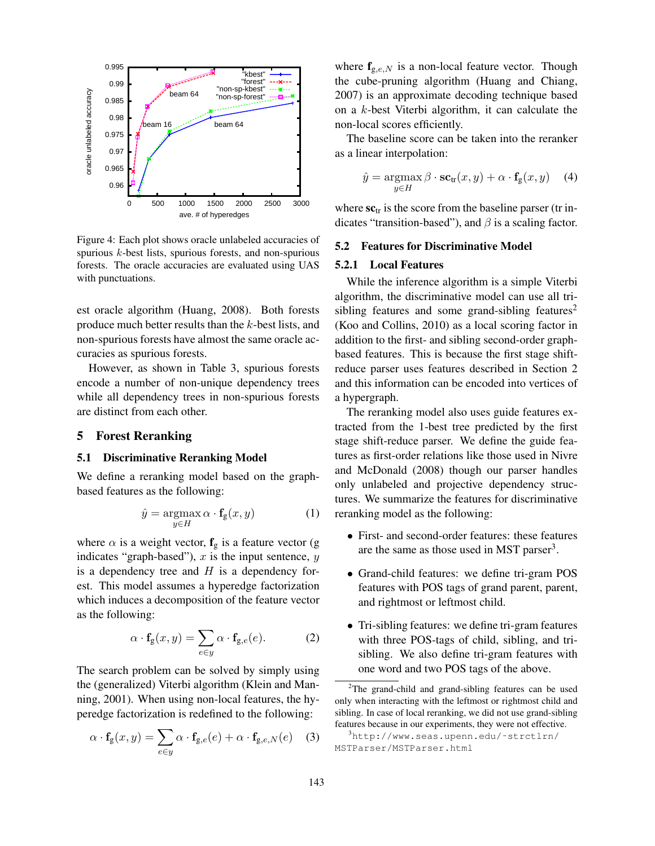

Figure 4: Each plot shows oracle unlabeled accuracies of spurious  $k$ -best lists, spurious forests, and non-spurious forests. The oracle accuracies are evaluated using UAS with punctuations.

est oracle algorithm (Huang, 2008). Both forests produce much better results than the k-best lists, and non-spurious forests have almost the same oracle accuracies as spurious forests.

However, as shown in Table 3, spurious forests encode a number of non-unique dependency trees while all dependency trees in non-spurious forests are distinct from each other.

# 5 Forest Reranking

## 5.1 Discriminative Reranking Model

We define a reranking model based on the graphbased features as the following:

$$
\hat{y} = \underset{y \in H}{\operatorname{argmax}} \, \alpha \cdot \mathbf{f}_{\mathbf{g}}(x, y) \tag{1}
$$

where  $\alpha$  is a weight vector,  $f_g$  is a feature vector (g indicates "graph-based"),  $x$  is the input sentence,  $y$ is a dependency tree and  $H$  is a dependency forest. This model assumes a hyperedge factorization which induces a decomposition of the feature vector as the following:

$$
\alpha \cdot \mathbf{f}_{g}(x, y) = \sum_{e \in y} \alpha \cdot \mathbf{f}_{g,e}(e).
$$
 (2)

The search problem can be solved by simply using the (generalized) Viterbi algorithm (Klein and Manning, 2001). When using non-local features, the hyperedge factorization is redefined to the following:

$$
\alpha \cdot \mathbf{f}_{g}(x, y) = \sum_{e \in y} \alpha \cdot \mathbf{f}_{g,e}(e) + \alpha \cdot \mathbf{f}_{g,e,N}(e) \quad (3)
$$

where  $f_{g,e,N}$  is a non-local feature vector. Though the cube-pruning algorithm (Huang and Chiang, 2007) is an approximate decoding technique based on a k-best Viterbi algorithm, it can calculate the non-local scores efficiently.

The baseline score can be taken into the reranker as a linear interpolation:

$$
\hat{y} = \underset{y \in H}{\operatorname{argmax}} \beta \cdot \mathbf{sc}_{\text{tr}}(x, y) + \alpha \cdot \mathbf{f}_{g}(x, y) \quad (4)
$$

where  $\mathbf{sc}_{tr}$  is the score from the baseline parser (tr indicates "transition-based"), and  $\beta$  is a scaling factor.

## 5.2 Features for Discriminative Model

#### 5.2.1 Local Features

While the inference algorithm is a simple Viterbi algorithm, the discriminative model can use all trisibling features and some grand-sibling features<sup>2</sup> (Koo and Collins, 2010) as a local scoring factor in addition to the first- and sibling second-order graphbased features. This is because the first stage shiftreduce parser uses features described in Section 2 and this information can be encoded into vertices of a hypergraph.

The reranking model also uses guide features extracted from the 1-best tree predicted by the first stage shift-reduce parser. We define the guide features as first-order relations like those used in Nivre and McDonald (2008) though our parser handles only unlabeled and projective dependency structures. We summarize the features for discriminative reranking model as the following:

- First- and second-order features: these features are the same as those used in MST parser<sup>3</sup>.
- Grand-child features: we define tri-gram POS features with POS tags of grand parent, parent, and rightmost or leftmost child.
- Tri-sibling features: we define tri-gram features with three POS-tags of child, sibling, and trisibling. We also define tri-gram features with one word and two POS tags of the above.

<sup>&</sup>lt;sup>2</sup>The grand-child and grand-sibling features can be used only when interacting with the leftmost or rightmost child and sibling. In case of local reranking, we did not use grand-sibling features because in our experiments, they were not effective.

 $3$ http://www.seas.upenn.edu/~strctlrn/ MSTParser/MSTParser.html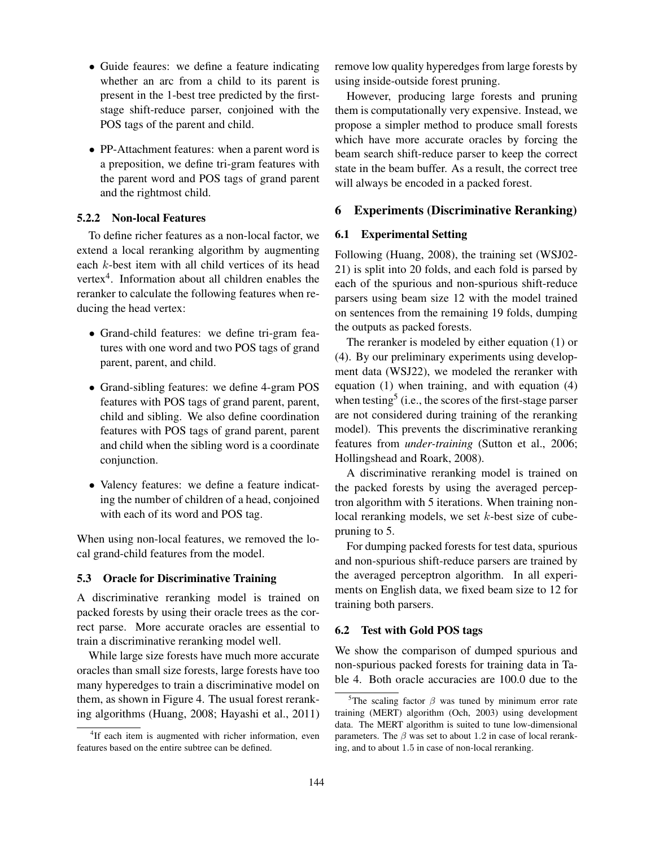- Guide feaures: we define a feature indicating whether an arc from a child to its parent is present in the 1-best tree predicted by the firststage shift-reduce parser, conjoined with the POS tags of the parent and child.
- PP-Attachment features: when a parent word is a preposition, we define tri-gram features with the parent word and POS tags of grand parent and the rightmost child.

# 5.2.2 Non-local Features

To define richer features as a non-local factor, we extend a local reranking algorithm by augmenting each k-best item with all child vertices of its head vertex $4$ . Information about all children enables the reranker to calculate the following features when reducing the head vertex:

- Grand-child features: we define tri-gram features with one word and two POS tags of grand parent, parent, and child.
- Grand-sibling features: we define 4-gram POS features with POS tags of grand parent, parent, child and sibling. We also define coordination features with POS tags of grand parent, parent and child when the sibling word is a coordinate conjunction.
- Valency features: we define a feature indicating the number of children of a head, conjoined with each of its word and POS tag.

When using non-local features, we removed the local grand-child features from the model.

## 5.3 Oracle for Discriminative Training

A discriminative reranking model is trained on packed forests by using their oracle trees as the correct parse. More accurate oracles are essential to train a discriminative reranking model well.

While large size forests have much more accurate oracles than small size forests, large forests have too many hyperedges to train a discriminative model on them, as shown in Figure 4. The usual forest reranking algorithms (Huang, 2008; Hayashi et al., 2011) remove low quality hyperedges from large forests by using inside-outside forest pruning.

However, producing large forests and pruning them is computationally very expensive. Instead, we propose a simpler method to produce small forests which have more accurate oracles by forcing the beam search shift-reduce parser to keep the correct state in the beam buffer. As a result, the correct tree will always be encoded in a packed forest.

# 6 Experiments (Discriminative Reranking)

# 6.1 Experimental Setting

Following (Huang, 2008), the training set (WSJ02- 21) is split into 20 folds, and each fold is parsed by each of the spurious and non-spurious shift-reduce parsers using beam size 12 with the model trained on sentences from the remaining 19 folds, dumping the outputs as packed forests.

The reranker is modeled by either equation (1) or (4). By our preliminary experiments using development data (WSJ22), we modeled the reranker with equation (1) when training, and with equation (4) when testing<sup>5</sup> (i.e., the scores of the first-stage parser are not considered during training of the reranking model). This prevents the discriminative reranking features from *under-training* (Sutton et al., 2006; Hollingshead and Roark, 2008).

A discriminative reranking model is trained on the packed forests by using the averaged perceptron algorithm with 5 iterations. When training nonlocal reranking models, we set k-best size of cubepruning to 5.

For dumping packed forests for test data, spurious and non-spurious shift-reduce parsers are trained by the averaged perceptron algorithm. In all experiments on English data, we fixed beam size to 12 for training both parsers.

#### 6.2 Test with Gold POS tags

We show the comparison of dumped spurious and non-spurious packed forests for training data in Table 4. Both oracle accuracies are 100.0 due to the

<sup>&</sup>lt;sup>4</sup>If each item is augmented with richer information, even features based on the entire subtree can be defined.

<sup>&</sup>lt;sup>5</sup>The scaling factor  $\beta$  was tuned by minimum error rate training (MERT) algorithm (Och, 2003) using development data. The MERT algorithm is suited to tune low-dimensional parameters. The  $\beta$  was set to about 1.2 in case of local reranking, and to about 1.5 in case of non-local reranking.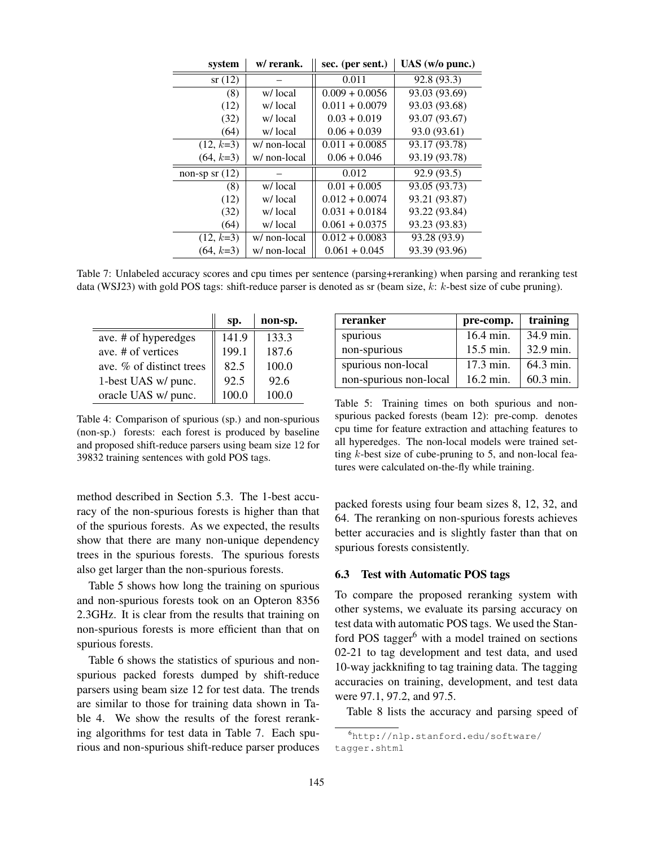| system           | w/ rerank.   | sec. (per sent.) | $UAS$ (w/o punc.) |
|------------------|--------------|------------------|-------------------|
| sr(12)           |              | 0.011            | 92.8 (93.3)       |
| (8)              | w/local      | $0.009 + 0.0056$ | 93.03 (93.69)     |
| (12)             | w/local      | $0.011 + 0.0079$ | 93.03 (93.68)     |
| (32)             | w/local      | $0.03 + 0.019$   | 93.07 (93.67)     |
| (64)             | w/local      | $0.06 + 0.039$   | 93.0 (93.61)      |
| $(12, k=3)$      | w/ non-local | $0.011 + 0.0085$ | 93.17 (93.78)     |
| $(64, k=3)$      | w/ non-local | $0.06 + 0.046$   | 93.19 (93.78)     |
| non-sp sr $(12)$ |              | 0.012            | 92.9 (93.5)       |
| (8)              | w/local      | $0.01 + 0.005$   | 93.05 (93.73)     |
| (12)             | w/local      | $0.012 + 0.0074$ | 93.21 (93.87)     |
| (32)             | w/local      | $0.031 + 0.0184$ | 93.22 (93.84)     |
| (64)             | w/local      | $0.061 + 0.0375$ | 93.23 (93.83)     |
| $(12, k=3)$      | w/ non-local | $0.012 + 0.0083$ | 93.28 (93.9)      |
| $(64, k=3)$      | w/ non-local | $0.061 + 0.045$  | 93.39 (93.96)     |

Table 7: Unlabeled accuracy scores and cpu times per sentence (parsing+reranking) when parsing and reranking test data (WSJ23) with gold POS tags: shift-reduce parser is denoted as sr (beam size, k: k-best size of cube pruning).

|                          | sp.   | non-sp. |
|--------------------------|-------|---------|
| ave. # of hyperedges     | 141.9 | 133.3   |
| ave # of vertices        | 199.1 | 187.6   |
| ave. % of distinct trees | 82.5  | 100.0   |
| 1-best UAS w/ punc.      | 92.5  | 92.6    |
| oracle UAS w/ punc.      | 100.0 | 100.0   |

Table 4: Comparison of spurious (sp.) and non-spurious (non-sp.) forests: each forest is produced by baseline and proposed shift-reduce parsers using beam size 12 for 39832 training sentences with gold POS tags.

method described in Section 5.3. The 1-best accuracy of the non-spurious forests is higher than that of the spurious forests. As we expected, the results show that there are many non-unique dependency trees in the spurious forests. The spurious forests also get larger than the non-spurious forests.

Table 5 shows how long the training on spurious and non-spurious forests took on an Opteron 8356 2.3GHz. It is clear from the results that training on non-spurious forests is more efficient than that on spurious forests.

Table 6 shows the statistics of spurious and nonspurious packed forests dumped by shift-reduce parsers using beam size 12 for test data. The trends are similar to those for training data shown in Table 4. We show the results of the forest reranking algorithms for test data in Table 7. Each spurious and non-spurious shift-reduce parser produces

| reranker               | pre-comp.           | training    |
|------------------------|---------------------|-------------|
| spurious               | 16.4 min.           | 34.9 min.   |
| non-spurious           | 15.5 min.           | 32.9 min.   |
| spurious non-local     | $17.3 \text{ min.}$ | 64.3 min.   |
| non-spurious non-local | $16.2 \text{ min.}$ | $60.3$ min. |

Table 5: Training times on both spurious and nonspurious packed forests (beam 12): pre-comp. denotes cpu time for feature extraction and attaching features to all hyperedges. The non-local models were trained setting  $k$ -best size of cube-pruning to 5, and non-local features were calculated on-the-fly while training.

packed forests using four beam sizes 8, 12, 32, and 64. The reranking on non-spurious forests achieves better accuracies and is slightly faster than that on spurious forests consistently.

## 6.3 Test with Automatic POS tags

To compare the proposed reranking system with other systems, we evaluate its parsing accuracy on test data with automatic POS tags. We used the Stanford POS tagger $<sup>6</sup>$  with a model trained on sections</sup> 02-21 to tag development and test data, and used 10-way jackknifing to tag training data. The tagging accuracies on training, development, and test data were 97.1, 97.2, and 97.5.

Table 8 lists the accuracy and parsing speed of

<sup>6</sup>http://nlp.stanford.edu/software/ tagger.shtml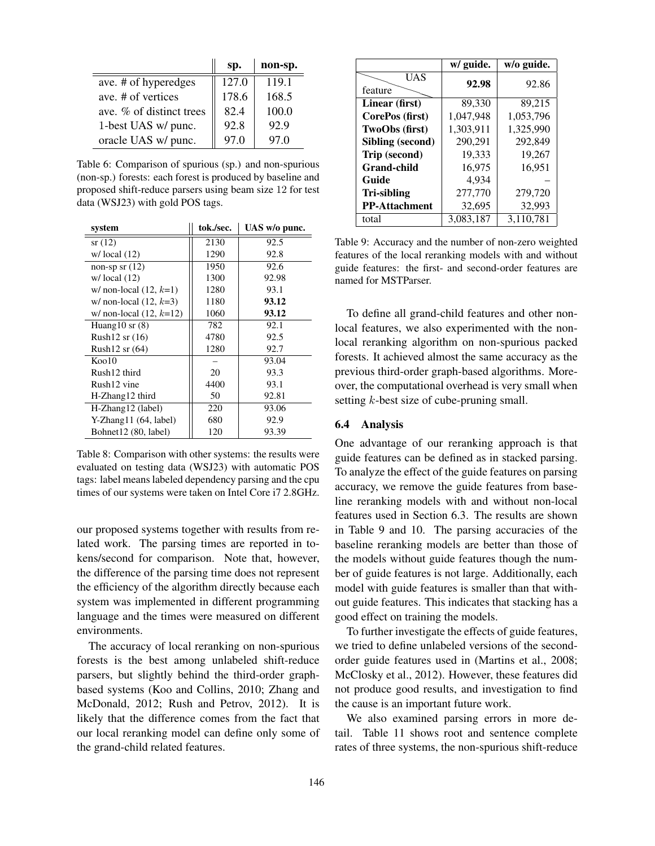|                          | sp.   | non-sp. |
|--------------------------|-------|---------|
| ave. # of hyperedges     | 127.0 | 119.1   |
| ave # of vertices        | 178.6 | 168.5   |
| ave. % of distinct trees | 82.4  | 100.0   |
| 1-best UAS w/ punc.      | 92.8  | 92.9    |
| oracle UAS w/ punc.      | 97.0  | 97.0    |

Table 6: Comparison of spurious (sp.) and non-spurious (non-sp.) forests: each forest is produced by baseline and proposed shift-reduce parsers using beam size 12 for test data (WSJ23) with gold POS tags.

| system                    | tok./sec. | UAS w/o punc. |
|---------------------------|-----------|---------------|
| sr(12)                    | 2130      | 92.5          |
| $w / \text{local} (12)$   | 1290      | 92.8          |
| non-sp sr $(12)$          | 1950      | 92.6          |
| $w / \text{local} (12)$   | 1300      | 92.98         |
| w/ non-local $(12, k=1)$  | 1280      | 93.1          |
| w/ non-local $(12, k=3)$  | 1180      | 93.12         |
| w/ non-local $(12, k=12)$ | 1060      | 93.12         |
| Huang $10$ sr $(8)$       | 782       | 92.1          |
| Rush $12$ sr $(16)$       | 4780      | 92.5          |
| Rush $12$ sr $(64)$       | 1280      | 92.7          |
| $K$ oo 10                 |           | 93.04         |
| Rush12 third              | 20        | 93.3          |
| Rush12 vine               | 4400      | 93.1          |
| H-Zhang12 third           | 50        | 92.81         |
| H-Zhang12 (label)         | 220       | 93.06         |
| $Y-Zhang11(64, label)$    | 680       | 92.9          |
| Bohnet12 (80, label)      | 120       | 93.39         |

Table 8: Comparison with other systems: the results were evaluated on testing data (WSJ23) with automatic POS tags: label means labeled dependency parsing and the cpu times of our systems were taken on Intel Core i7 2.8GHz.

our proposed systems together with results from related work. The parsing times are reported in tokens/second for comparison. Note that, however, the difference of the parsing time does not represent the efficiency of the algorithm directly because each system was implemented in different programming language and the times were measured on different environments.

The accuracy of local reranking on non-spurious forests is the best among unlabeled shift-reduce parsers, but slightly behind the third-order graphbased systems (Koo and Collins, 2010; Zhang and McDonald, 2012; Rush and Petrov, 2012). It is likely that the difference comes from the fact that our local reranking model can define only some of the grand-child related features.

|                      | w/ guide. | w/o guide. |
|----------------------|-----------|------------|
| UAS<br>feature       | 92.98     | 92.86      |
| Linear (first)       | 89,330    | 89,215     |
| CorePos (first)      | 1,047,948 | 1,053,796  |
| TwoObs (first)       | 1,303,911 | 1,325,990  |
| Sibling (second)     | 290,291   | 292,849    |
| Trip (second)        | 19,333    | 19,267     |
| <b>Grand-child</b>   | 16,975    | 16,951     |
| Guide                | 4.934     |            |
| Tri-sibling          | 277,770   | 279,720    |
| <b>PP-Attachment</b> | 32,695    | 32,993     |
| total                | 3,083,187 | 3,110,781  |

Table 9: Accuracy and the number of non-zero weighted features of the local reranking models with and without guide features: the first- and second-order features are named for MSTParser.

To define all grand-child features and other nonlocal features, we also experimented with the nonlocal reranking algorithm on non-spurious packed forests. It achieved almost the same accuracy as the previous third-order graph-based algorithms. Moreover, the computational overhead is very small when setting *k*-best size of cube-pruning small.

#### 6.4 Analysis

One advantage of our reranking approach is that guide features can be defined as in stacked parsing. To analyze the effect of the guide features on parsing accuracy, we remove the guide features from baseline reranking models with and without non-local features used in Section 6.3. The results are shown in Table 9 and 10. The parsing accuracies of the baseline reranking models are better than those of the models without guide features though the number of guide features is not large. Additionally, each model with guide features is smaller than that without guide features. This indicates that stacking has a good effect on training the models.

To further investigate the effects of guide features, we tried to define unlabeled versions of the secondorder guide features used in (Martins et al., 2008; McClosky et al., 2012). However, these features did not produce good results, and investigation to find the cause is an important future work.

We also examined parsing errors in more detail. Table 11 shows root and sentence complete rates of three systems, the non-spurious shift-reduce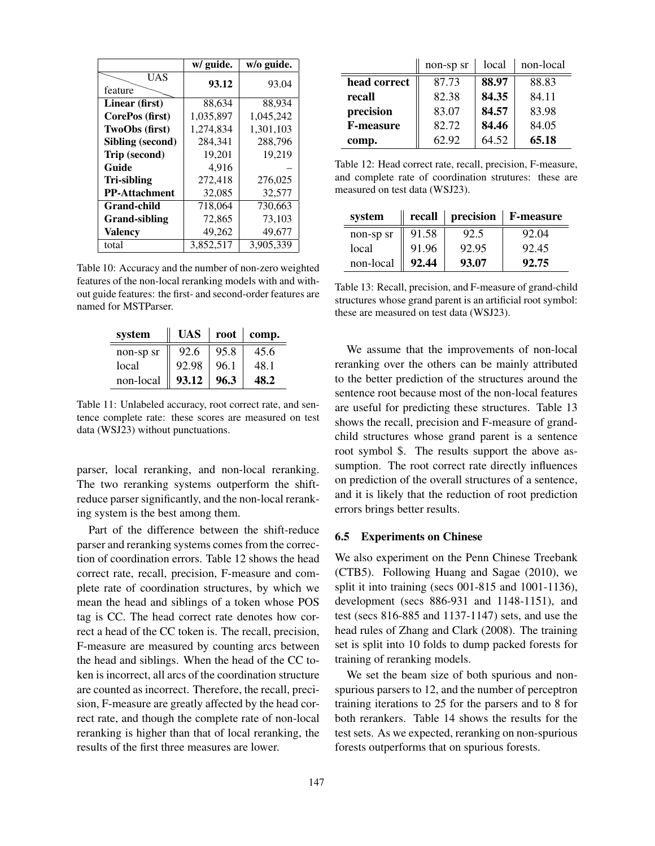|                      | w/ guide. | w/o guide. |
|----------------------|-----------|------------|
| UAS<br>feature       | 93.12     | 93.04      |
| Linear (first)       | 88,634    | 88,934     |
| CorePos (first)      | 1,035,897 | 1,045,242  |
| TwoObs (first)       | 1,274,834 | 1,301,103  |
| Sibling (second)     | 284,341   | 288,796    |
| Trip (second)        | 19.201    | 19,219     |
| Guide                | 4,916     |            |
| Tri-sibling          | 272,418   | 276,025    |
| <b>PP-Attachment</b> | 32,085    | 32,577     |
| Grand-child          | 718,064   | 730,663    |
| Grand-sibling        | 72,865    | 73,103     |
| <b>Valency</b>       | 49,262    | 49,677     |
| total                | 3.852.517 | 3.905.339  |

Table 10: Accuracy and the number of non-zero weighted features of the non-local reranking models with and without guide features: the first- and second-order features are named for MSTParser.

| system    | UAS   | root | comp.       |
|-----------|-------|------|-------------|
| non-sp sr | 92.6  | 95.8 | 45.6        |
| local     | 92.98 | 96.1 | 48.1        |
| non-local | 93.12 | 96.3 | <b>48.2</b> |

Table 11: Unlabeled accuracy, root correct rate, and sentence complete rate: these scores are measured on test data (WSJ23) without punctuations.

parser, local reranking, and non-local reranking. The two reranking systems outperform the shiftreduce parser significantly, and the non-local reranking system is the best among them.

Part of the difference between the shift-reduce parser and reranking systems comes from the correction of coordination errors. Table 12 shows the head correct rate, recall, precision, F-measure and complete rate of coordination structures, by which we mean the head and siblings of a token whose POS tag is CC. The head correct rate denotes how correct a head of the CC token is. The recall, precision, F-measure are measured by counting arcs between the head and siblings. When the head of the CC token is incorrect, all arcs of the coordination structure are counted as incorrect. Therefore, the recall, precision, F-measure are greatly affected by the head correct rate, and though the complete rate of non-local reranking is higher than that of local reranking, the results of the first three measures are lower.

|                  | non-sp sr | local | non-local |
|------------------|-----------|-------|-----------|
| head correct     | 87.73     | 88.97 | 88.83     |
| recall           | 82.38     | 84.35 | 84.11     |
| precision        | 83.07     | 84.57 | 83.98     |
| <b>F-measure</b> | 82.72     | 84.46 | 84.05     |
| comp.            | 62.92     | 64.52 | 65.18     |

Table 12: Head correct rate, recall, precision, F-measure, and complete rate of coordination strutures: these are measured on test data (WSJ23).

| system    |       |       | recall   precision   F-measure |
|-----------|-------|-------|--------------------------------|
| non-sp sr | 91.58 | 92.5  | 92.04                          |
| local     | 91.96 | 92.95 | 92.45                          |
| non-local | 92.44 | 93.07 | 92.75                          |

Table 13: Recall, precision, and F-measure of grand-child structures whose grand parent is an artificial root symbol: these are measured on test data (WSJ23).

We assume that the improvements of non-local reranking over the others can be mainly attributed to the better prediction of the structures around the sentence root because most of the non-local features are useful for predicting these structures. Table 13 shows the recall, precision and F-measure of grandchild structures whose grand parent is a sentence root symbol \$. The results support the above assumption. The root correct rate directly influences on prediction of the overall structures of a sentence, and it is likely that the reduction of root prediction errors brings better results.

## 6.5 Experiments on Chinese

We also experiment on the Penn Chinese Treebank (CTB5). Following Huang and Sagae (2010), we split it into training (secs 001-815 and 1001-1136), development (secs 886-931 and 1148-1151), and test (secs 816-885 and 1137-1147) sets, and use the head rules of Zhang and Clark (2008). The training set is split into 10 folds to dump packed forests for training of reranking models.

We set the beam size of both spurious and nonspurious parsers to 12, and the number of perceptron training iterations to 25 for the parsers and to 8 for both rerankers. Table 14 shows the results for the test sets. As we expected, reranking on non-spurious forests outperforms that on spurious forests.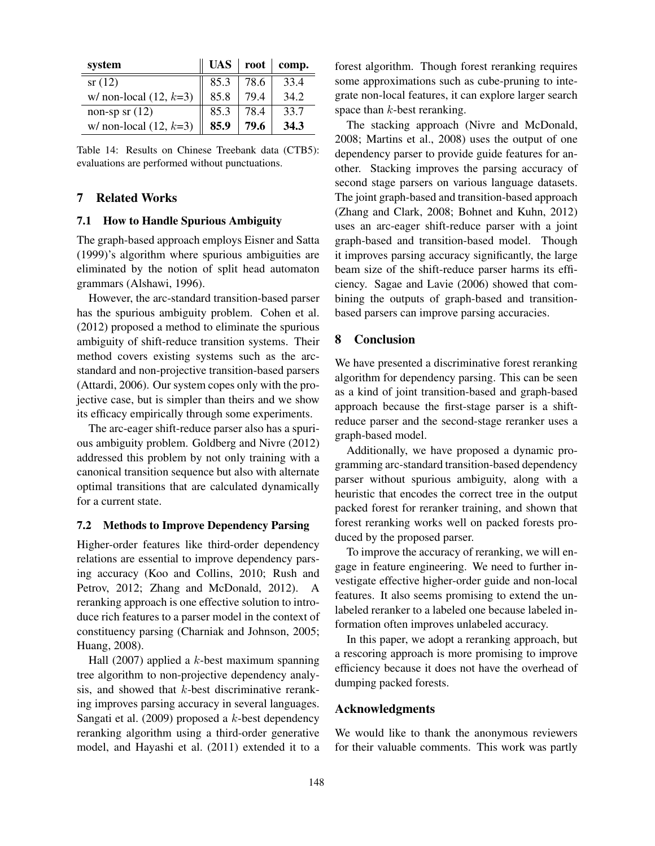| system                   |      |      | UAS   root   comp. |
|--------------------------|------|------|--------------------|
| sr(12)                   | 85.3 | 78.6 | 33.4               |
| w/ non-local $(12, k=3)$ | 85.8 | 79.4 | 34.2               |
| non-sp sr $(12)$         | 85.3 | 78.4 | 33.7               |
| w/ non-local $(12, k=3)$ | 85.9 | 79.6 | 34.3               |

Table 14: Results on Chinese Treebank data (CTB5): evaluations are performed without punctuations.

# 7 Related Works

#### 7.1 How to Handle Spurious Ambiguity

The graph-based approach employs Eisner and Satta (1999)'s algorithm where spurious ambiguities are eliminated by the notion of split head automaton grammars (Alshawi, 1996).

However, the arc-standard transition-based parser has the spurious ambiguity problem. Cohen et al. (2012) proposed a method to eliminate the spurious ambiguity of shift-reduce transition systems. Their method covers existing systems such as the arcstandard and non-projective transition-based parsers (Attardi, 2006). Our system copes only with the projective case, but is simpler than theirs and we show its efficacy empirically through some experiments.

The arc-eager shift-reduce parser also has a spurious ambiguity problem. Goldberg and Nivre (2012) addressed this problem by not only training with a canonical transition sequence but also with alternate optimal transitions that are calculated dynamically for a current state.

#### 7.2 Methods to Improve Dependency Parsing

Higher-order features like third-order dependency relations are essential to improve dependency parsing accuracy (Koo and Collins, 2010; Rush and Petrov, 2012; Zhang and McDonald, 2012). A reranking approach is one effective solution to introduce rich features to a parser model in the context of constituency parsing (Charniak and Johnson, 2005; Huang, 2008).

Hall (2007) applied a  $k$ -best maximum spanning tree algorithm to non-projective dependency analysis, and showed that k-best discriminative reranking improves parsing accuracy in several languages. Sangati et al. (2009) proposed a  $k$ -best dependency reranking algorithm using a third-order generative model, and Hayashi et al. (2011) extended it to a forest algorithm. Though forest reranking requires some approximations such as cube-pruning to integrate non-local features, it can explore larger search space than  $k$ -best reranking.

The stacking approach (Nivre and McDonald, 2008; Martins et al., 2008) uses the output of one dependency parser to provide guide features for another. Stacking improves the parsing accuracy of second stage parsers on various language datasets. The joint graph-based and transition-based approach (Zhang and Clark, 2008; Bohnet and Kuhn, 2012) uses an arc-eager shift-reduce parser with a joint graph-based and transition-based model. Though it improves parsing accuracy significantly, the large beam size of the shift-reduce parser harms its efficiency. Sagae and Lavie (2006) showed that combining the outputs of graph-based and transitionbased parsers can improve parsing accuracies.

## 8 Conclusion

We have presented a discriminative forest reranking algorithm for dependency parsing. This can be seen as a kind of joint transition-based and graph-based approach because the first-stage parser is a shiftreduce parser and the second-stage reranker uses a graph-based model.

Additionally, we have proposed a dynamic programming arc-standard transition-based dependency parser without spurious ambiguity, along with a heuristic that encodes the correct tree in the output packed forest for reranker training, and shown that forest reranking works well on packed forests produced by the proposed parser.

To improve the accuracy of reranking, we will engage in feature engineering. We need to further investigate effective higher-order guide and non-local features. It also seems promising to extend the unlabeled reranker to a labeled one because labeled information often improves unlabeled accuracy.

In this paper, we adopt a reranking approach, but a rescoring approach is more promising to improve efficiency because it does not have the overhead of dumping packed forests.

## Acknowledgments

We would like to thank the anonymous reviewers for their valuable comments. This work was partly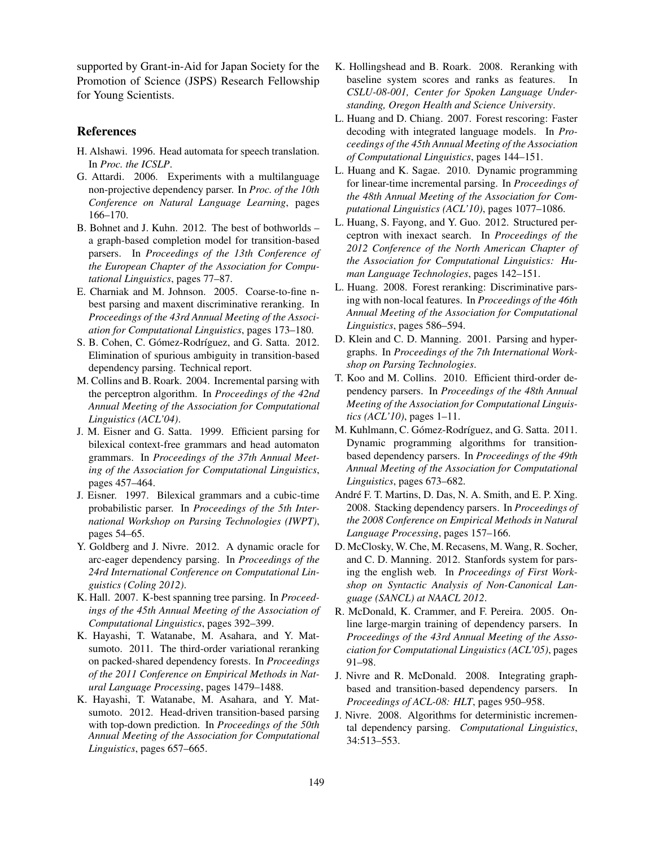supported by Grant-in-Aid for Japan Society for the Promotion of Science (JSPS) Research Fellowship for Young Scientists.

# References

- H. Alshawi. 1996. Head automata for speech translation. In *Proc. the ICSLP*.
- G. Attardi. 2006. Experiments with a multilanguage non-projective dependency parser. In *Proc. of the 10th Conference on Natural Language Learning*, pages 166–170.
- B. Bohnet and J. Kuhn. 2012. The best of bothworlds a graph-based completion model for transition-based parsers. In *Proceedings of the 13th Conference of the European Chapter of the Association for Computational Linguistics*, pages 77–87.
- E. Charniak and M. Johnson. 2005. Coarse-to-fine nbest parsing and maxent discriminative reranking. In *Proceedings of the 43rd Annual Meeting of the Association for Computational Linguistics*, pages 173–180.
- S. B. Cohen, C. Gómez-Rodríguez, and G. Satta. 2012. Elimination of spurious ambiguity in transition-based dependency parsing. Technical report.
- M. Collins and B. Roark. 2004. Incremental parsing with the perceptron algorithm. In *Proceedings of the 42nd Annual Meeting of the Association for Computational Linguistics (ACL'04)*.
- J. M. Eisner and G. Satta. 1999. Efficient parsing for bilexical context-free grammars and head automaton grammars. In *Proceedings of the 37th Annual Meeting of the Association for Computational Linguistics*, pages 457–464.
- J. Eisner. 1997. Bilexical grammars and a cubic-time probabilistic parser. In *Proceedings of the 5th International Workshop on Parsing Technologies (IWPT)*, pages 54–65.
- Y. Goldberg and J. Nivre. 2012. A dynamic oracle for arc-eager dependency parsing. In *Proceedings of the 24rd International Conference on Computational Linguistics (Coling 2012)*.
- K. Hall. 2007. K-best spanning tree parsing. In *Proceedings of the 45th Annual Meeting of the Association of Computational Linguistics*, pages 392–399.
- K. Hayashi, T. Watanabe, M. Asahara, and Y. Matsumoto. 2011. The third-order variational reranking on packed-shared dependency forests. In *Proceedings of the 2011 Conference on Empirical Methods in Natural Language Processing*, pages 1479–1488.
- K. Hayashi, T. Watanabe, M. Asahara, and Y. Matsumoto. 2012. Head-driven transition-based parsing with top-down prediction. In *Proceedings of the 50th Annual Meeting of the Association for Computational Linguistics*, pages 657–665.
- K. Hollingshead and B. Roark. 2008. Reranking with baseline system scores and ranks as features. In *CSLU-08-001, Center for Spoken Language Understanding, Oregon Health and Science University*.
- L. Huang and D. Chiang. 2007. Forest rescoring: Faster decoding with integrated language models. In *Proceedings of the 45th Annual Meeting of the Association of Computational Linguistics*, pages 144–151.
- L. Huang and K. Sagae. 2010. Dynamic programming for linear-time incremental parsing. In *Proceedings of the 48th Annual Meeting of the Association for Computational Linguistics (ACL'10)*, pages 1077–1086.
- L. Huang, S. Fayong, and Y. Guo. 2012. Structured perceptron with inexact search. In *Proceedings of the 2012 Conference of the North American Chapter of the Association for Computational Linguistics: Human Language Technologies*, pages 142–151.
- L. Huang. 2008. Forest reranking: Discriminative parsing with non-local features. In *Proceedings of the 46th Annual Meeting of the Association for Computational Linguistics*, pages 586–594.
- D. Klein and C. D. Manning. 2001. Parsing and hypergraphs. In *Proceedings of the 7th International Workshop on Parsing Technologies*.
- T. Koo and M. Collins. 2010. Efficient third-order dependency parsers. In *Proceedings of the 48th Annual Meeting of the Association for Computational Linguistics (ACL'10)*, pages 1–11.
- M. Kuhlmann, C. Gómez-Rodríguez, and G. Satta. 2011. Dynamic programming algorithms for transitionbased dependency parsers. In *Proceedings of the 49th Annual Meeting of the Association for Computational Linguistics*, pages 673–682.
- André F. T. Martins, D. Das, N. A. Smith, and E. P. Xing. 2008. Stacking dependency parsers. In *Proceedings of the 2008 Conference on Empirical Methods in Natural Language Processing*, pages 157–166.
- D. McClosky, W. Che, M. Recasens, M. Wang, R. Socher, and C. D. Manning. 2012. Stanfords system for parsing the english web. In *Proceedings of First Workshop on Syntactic Analysis of Non-Canonical Language (SANCL) at NAACL 2012*.
- R. McDonald, K. Crammer, and F. Pereira. 2005. Online large-margin training of dependency parsers. In *Proceedings of the 43rd Annual Meeting of the Association for Computational Linguistics (ACL'05)*, pages 91–98.
- J. Nivre and R. McDonald. 2008. Integrating graphbased and transition-based dependency parsers. In *Proceedings of ACL-08: HLT*, pages 950–958.
- J. Nivre. 2008. Algorithms for deterministic incremental dependency parsing. *Computational Linguistics*, 34:513–553.